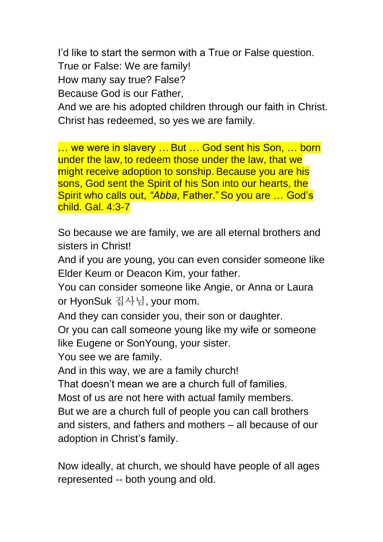I'd like to start the sermon with a True or False question.

True or False: We are family!

How many say true? False?

Because God is our Father,

And we are his adopted children through our faith in Christ. Christ has redeemed, so yes we are family.

… we were in slavery … But … God sent his Son, … born under the law, to redeem those under the law, that we might receive adoption to sonship. Because you are his sons, God sent the Spirit of his Son into our hearts, the Spirit who calls out, *"Abba*, Father." So you are … God's child. Gal. 4:3-7

So because we are family, we are all eternal brothers and sisters in Christ!

And if you are young, you can even consider someone like Elder Keum or Deacon Kim, your father.

You can consider someone like Angie, or Anna or Laura or HyonSuk 집사님, your mom.

And they can consider you, their son or daughter.

Or you can call someone young like my wife or someone like Eugene or SonYoung, your sister.

You see we are family.

And in this way, we are a family church!

That doesn't mean we are a church full of families.

Most of us are not here with actual family members.

But we are a church full of people you can call brothers and sisters, and fathers and mothers – all because of our adoption in Christ's family.

Now ideally, at church, we should have people of all ages represented -- both young and old.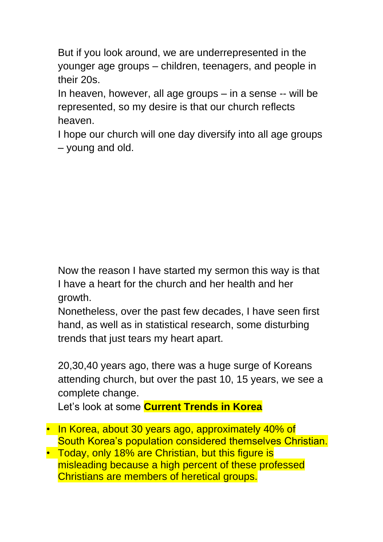But if you look around, we are underrepresented in the younger age groups – children, teenagers, and people in their 20s.

In heaven, however, all age groups – in a sense -- will be represented, so my desire is that our church reflects heaven.

I hope our church will one day diversify into all age groups – young and old.

Now the reason I have started my sermon this way is that I have a heart for the church and her health and her growth.

Nonetheless, over the past few decades, I have seen first hand, as well as in statistical research, some disturbing trends that just tears my heart apart.

20,30,40 years ago, there was a huge surge of Koreans attending church, but over the past 10, 15 years, we see a complete change.

Let's look at some **Current Trends in Korea**

- In Korea, about 30 years ago, approximately 40% of South Korea's population considered themselves Christian.
- Today, only 18% are Christian, but this figure is misleading because a high percent of these professed Christians are members of heretical groups.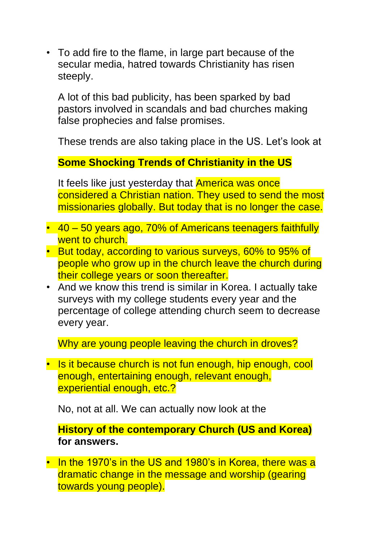• To add fire to the flame, in large part because of the secular media, hatred towards Christianity has risen steeply.

A lot of this bad publicity, has been sparked by bad pastors involved in scandals and bad churches making false prophecies and false promises.

These trends are also taking place in the US. Let's look at

## **Some Shocking Trends of Christianity in the US**

It feels like just yesterday that **America was once** considered a Christian nation. They used to send the most missionaries globally. But today that is no longer the case.

- 40 50 years ago, 70% of Americans teenagers faithfully went to church.
- But today, according to various surveys, 60% to 95% of people who grow up in the church leave the church during their college years or soon thereafter.
- And we know this trend is similar in Korea. I actually take surveys with my college students every year and the percentage of college attending church seem to decrease every year.

Why are young people leaving the church in droves?

• Is it because church is not fun enough, hip enough, cool enough, entertaining enough, relevant enough, experiential enough, etc.?

No, not at all. We can actually now look at the

**History of the contemporary Church (US and Korea) for answers.** 

• In the 1970's in the US and 1980's in Korea, there was a dramatic change in the message and worship (gearing towards young people).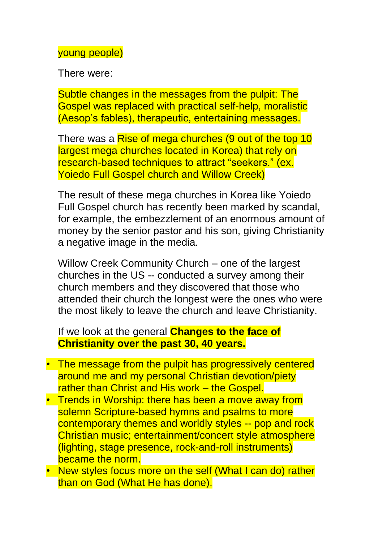#### young people)

There were:

Subtle changes in the messages from the pulpit: The Gospel was replaced with practical self-help, moralistic (Aesop's fables), therapeutic, entertaining messages.

There was a Rise of mega churches (9 out of the top 10 largest mega churches located in Korea) that rely on research-based techniques to attract "seekers." (ex. Yoiedo Full Gospel church and Willow Creek)

The result of these mega churches in Korea like Yoiedo Full Gospel church has recently been marked by scandal, for example, the embezzlement of an enormous amount of money by the senior pastor and his son, giving Christianity a negative image in the media.

Willow Creek Community Church – one of the largest churches in the US -- conducted a survey among their church members and they discovered that those who attended their church the longest were the ones who were the most likely to leave the church and leave Christianity.

### If we look at the general **Changes to the face of Christianity over the past 30, 40 years.**

- The message from the pulpit has progressively centered around me and my personal Christian devotion/piety rather than Christ and His work – the Gospel.
- Trends in Worship: there has been a move away from solemn Scripture-based hymns and psalms to more contemporary themes and worldly styles -- pop and rock Christian music; entertainment/concert style atmosphere (lighting, stage presence, rock-and-roll instruments) became the norm.
- New styles focus more on the self (What I can do) rather than on God (What He has done).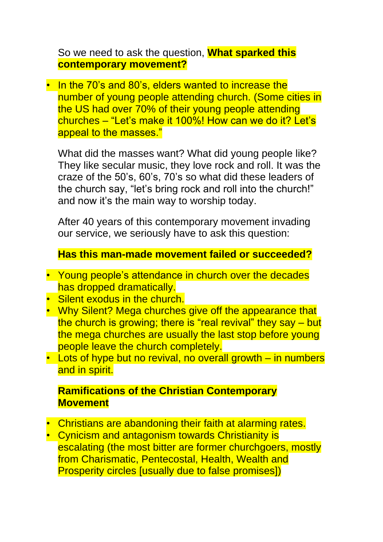So we need to ask the question, **What sparked this contemporary movement?**

• In the 70's and 80's, elders wanted to increase the number of young people attending church. (Some cities in the US had over 70% of their young people attending churches – "Let's make it 100%! How can we do it? Let's appeal to the masses."

What did the masses want? What did young people like? They like secular music, they love rock and roll. It was the craze of the 50's, 60's, 70's so what did these leaders of the church say, "let's bring rock and roll into the church!" and now it's the main way to worship today.

After 40 years of this contemporary movement invading our service, we seriously have to ask this question:

**Has this man-made movement failed or succeeded?**

- Young people's attendance in church over the decades has dropped dramatically.
- Silent exodus in the church.
- Why Silent? Mega churches give off the appearance that the church is growing; there is "real revival" they say – but the mega churches are usually the last stop before young people leave the church completely.
- Lots of hype but no revival, no overall growth in numbers and in spirit.

# **Ramifications of the Christian Contemporary Movement**

- Christians are abandoning their faith at alarming rates.
- Cynicism and antagonism towards Christianity is escalating (the most bitter are former churchgoers, mostly from Charismatic, Pentecostal, Health, Wealth and Prosperity circles [usually due to false promises])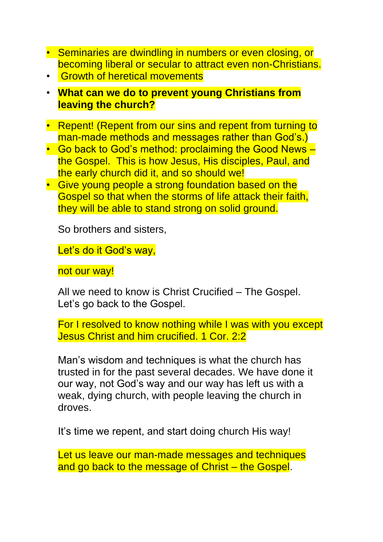- Seminaries are dwindling in numbers or even closing, or becoming liberal or secular to attract even non-Christians.
- Growth of heretical movements
- **What can we do to prevent young Christians from leaving the church?**
- Repent! (Repent from our sins and repent from turning to man-made methods and messages rather than God's.)
- Go back to God's method: proclaiming the Good News the Gospel. This is how Jesus, His disciples, Paul, and the early church did it, and so should we!
- Give young people a strong foundation based on the Gospel so that when the storms of life attack their faith, they will be able to stand strong on solid ground.

So brothers and sisters,

Let's do it God's way,

not our way!

All we need to know is Christ Crucified – The Gospel. Let's go back to the Gospel.

For I resolved to know nothing while I was with you except Jesus Christ and him crucified. 1 Cor. 2:2

Man's wisdom and techniques is what the church has trusted in for the past several decades. We have done it our way, not God's way and our way has left us with a weak, dying church, with people leaving the church in droves.

It's time we repent, and start doing church His way!

Let us leave our man-made messages and techniques and go back to the message of Christ – the Gospel.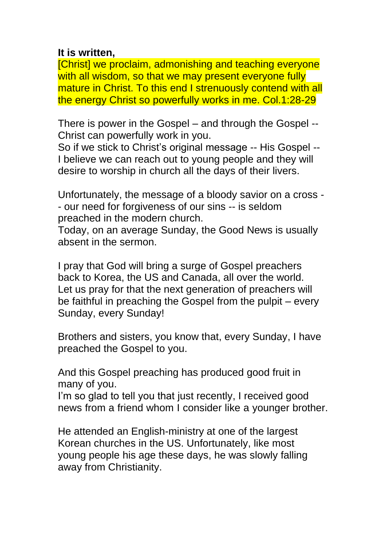### **It is written,**

[Christ] we proclaim, admonishing and teaching everyone with all wisdom, so that we may present everyone fully mature in Christ. To this end I strenuously contend with all the energy Christ so powerfully works in me. Col.1:28-29

There is power in the Gospel – and through the Gospel -- Christ can powerfully work in you.

So if we stick to Christ's original message -- His Gospel -- I believe we can reach out to young people and they will desire to worship in church all the days of their livers.

Unfortunately, the message of a bloody savior on a cross - - our need for forgiveness of our sins -- is seldom preached in the modern church.

Today, on an average Sunday, the Good News is usually absent in the sermon.

I pray that God will bring a surge of Gospel preachers back to Korea, the US and Canada, all over the world. Let us pray for that the next generation of preachers will be faithful in preaching the Gospel from the pulpit – every Sunday, every Sunday!

Brothers and sisters, you know that, every Sunday, I have preached the Gospel to you.

And this Gospel preaching has produced good fruit in many of you.

I'm so glad to tell you that just recently, I received good news from a friend whom I consider like a younger brother.

He attended an English-ministry at one of the largest Korean churches in the US. Unfortunately, like most young people his age these days, he was slowly falling away from Christianity.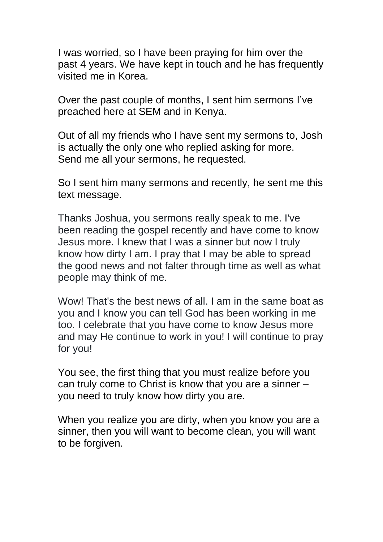I was worried, so I have been praying for him over the past 4 years. We have kept in touch and he has frequently visited me in Korea.

Over the past couple of months, I sent him sermons I've preached here at SEM and in Kenya.

Out of all my friends who I have sent my sermons to, Josh is actually the only one who replied asking for more. Send me all your sermons, he requested.

So I sent him many sermons and recently, he sent me this text message.

Thanks Joshua, you sermons really speak to me. I've been reading the gospel recently and have come to know Jesus more. I knew that I was a sinner but now I truly know how dirty I am. I pray that I may be able to spread the good news and not falter through time as well as what people may think of me.

Wow! That's the best news of all. I am in the same boat as you and I know you can tell God has been working in me too. I celebrate that you have come to know Jesus more and may He continue to work in you! I will continue to pray for you!

You see, the first thing that you must realize before you can truly come to Christ is know that you are a sinner – you need to truly know how dirty you are.

When you realize you are dirty, when you know you are a sinner, then you will want to become clean, you will want to be forgiven.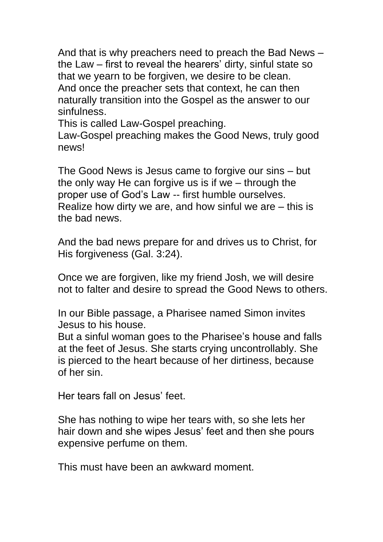And that is why preachers need to preach the Bad News – the Law – first to reveal the hearers' dirty, sinful state so that we yearn to be forgiven, we desire to be clean. And once the preacher sets that context, he can then naturally transition into the Gospel as the answer to our sinfulness.

This is called Law-Gospel preaching.

Law-Gospel preaching makes the Good News, truly good news!

The Good News is Jesus came to forgive our sins – but the only way He can forgive us is if we – through the proper use of God's Law -- first humble ourselves. Realize how dirty we are, and how sinful we are – this is the bad news.

And the bad news prepare for and drives us to Christ, for His forgiveness (Gal. 3:24).

Once we are forgiven, like my friend Josh, we will desire not to falter and desire to spread the Good News to others.

In our Bible passage, a Pharisee named Simon invites Jesus to his house.

But a sinful woman goes to the Pharisee's house and falls at the feet of Jesus. She starts crying uncontrollably. She is pierced to the heart because of her dirtiness, because of her sin.

Her tears fall on Jesus' feet.

She has nothing to wipe her tears with, so she lets her hair down and she wipes Jesus' feet and then she pours expensive perfume on them.

This must have been an awkward moment.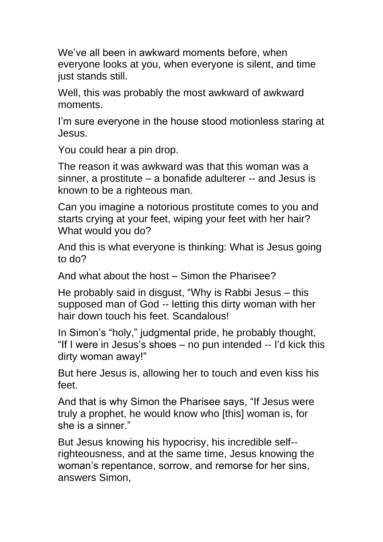We've all been in awkward moments before, when everyone looks at you, when everyone is silent, and time just stands still.

Well, this was probably the most awkward of awkward moments.

I'm sure everyone in the house stood motionless staring at Jesus.

You could hear a pin drop.

The reason it was awkward was that this woman was a sinner, a prostitute – a bonafide adulterer -- and Jesus is known to be a righteous man.

Can you imagine a notorious prostitute comes to you and starts crying at your feet, wiping your feet with her hair? What would you do?

And this is what everyone is thinking: What is Jesus going to do?

And what about the host – Simon the Pharisee?

He probably said in disgust, "Why is Rabbi Jesus – this supposed man of God -- letting this dirty woman with her hair down touch his feet. Scandalous!

In Simon's "holy," judgmental pride, he probably thought, "If I were in Jesus's shoes – no pun intended -- I'd kick this dirty woman away!"

But here Jesus is, allowing her to touch and even kiss his feet.

And that is why Simon the Pharisee says, "If Jesus were truly a prophet, he would know who [this] woman is, for she is a sinner."

But Jesus knowing his hypocrisy, his incredible self- righteousness, and at the same time, Jesus knowing the woman's repentance, sorrow, and remorse for her sins, answers Simon,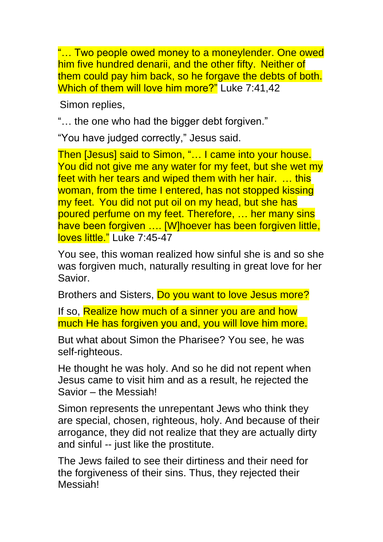"… Two people owed money to a moneylender. One owed him five hundred denarii, and the other fifty. Neither of them could pay him back, so he forgave the debts of both. Which of them will love him more?" Luke 7:41,42

Simon replies,

"… the one who had the bigger debt forgiven."

"You have judged correctly," Jesus said.

Then [Jesus] said to Simon, "… I came into your house. You did not give me any water for my feet, but she wet my feet with her tears and wiped them with her hair. … this woman, from the time I entered, has not stopped kissing my feet. You did not put oil on my head, but she has poured perfume on my feet. Therefore, … her many sins have been forgiven .... [W]hoever has been forgiven little, loves little." Luke 7:45-47

You see, this woman realized how sinful she is and so she was forgiven much, naturally resulting in great love for her Savior.

Brothers and Sisters, Do you want to love Jesus more?

If so, Realize how much of a sinner you are and how much He has forgiven you and, you will love him more.

But what about Simon the Pharisee? You see, he was self-righteous.

He thought he was holy. And so he did not repent when Jesus came to visit him and as a result, he rejected the Savior – the Messiah!

Simon represents the unrepentant Jews who think they are special, chosen, righteous, holy. And because of their arrogance, they did not realize that they are actually dirty and sinful -- just like the prostitute.

The Jews failed to see their dirtiness and their need for the forgiveness of their sins. Thus, they rejected their Messiah!